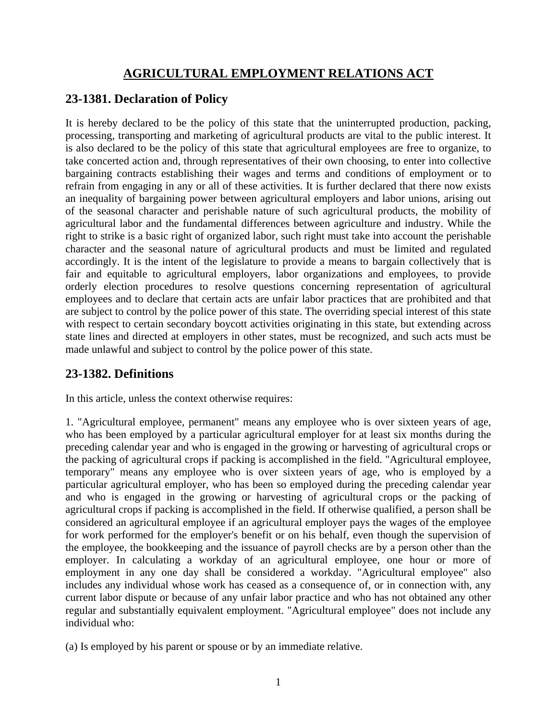# **AGRICULTURAL EMPLOYMENT RELATIONS ACT**

## **23-1381. Declaration of Policy**

It is hereby declared to be the policy of this state that the uninterrupted production, packing, processing, transporting and marketing of agricultural products are vital to the public interest. It is also declared to be the policy of this state that agricultural employees are free to organize, to take concerted action and, through representatives of their own choosing, to enter into collective bargaining contracts establishing their wages and terms and conditions of employment or to refrain from engaging in any or all of these activities. It is further declared that there now exists an inequality of bargaining power between agricultural employers and labor unions, arising out of the seasonal character and perishable nature of such agricultural products, the mobility of agricultural labor and the fundamental differences between agriculture and industry. While the right to strike is a basic right of organized labor, such right must take into account the perishable character and the seasonal nature of agricultural products and must be limited and regulated accordingly. It is the intent of the legislature to provide a means to bargain collectively that is fair and equitable to agricultural employers, labor organizations and employees, to provide orderly election procedures to resolve questions concerning representation of agricultural employees and to declare that certain acts are unfair labor practices that are prohibited and that are subject to control by the police power of this state. The overriding special interest of this state with respect to certain secondary boycott activities originating in this state, but extending across state lines and directed at employers in other states, must be recognized, and such acts must be made unlawful and subject to control by the police power of this state.

### **23-1382. Definitions**

In this article, unless the context otherwise requires:

1. "Agricultural employee, permanent" means any employee who is over sixteen years of age, who has been employed by a particular agricultural employer for at least six months during the preceding calendar year and who is engaged in the growing or harvesting of agricultural crops or the packing of agricultural crops if packing is accomplished in the field. "Agricultural employee, temporary" means any employee who is over sixteen years of age, who is employed by a particular agricultural employer, who has been so employed during the preceding calendar year and who is engaged in the growing or harvesting of agricultural crops or the packing of agricultural crops if packing is accomplished in the field. If otherwise qualified, a person shall be considered an agricultural employee if an agricultural employer pays the wages of the employee for work performed for the employer's benefit or on his behalf, even though the supervision of the employee, the bookkeeping and the issuance of payroll checks are by a person other than the employer. In calculating a workday of an agricultural employee, one hour or more of employment in any one day shall be considered a workday. "Agricultural employee" also includes any individual whose work has ceased as a consequence of, or in connection with, any current labor dispute or because of any unfair labor practice and who has not obtained any other regular and substantially equivalent employment. "Agricultural employee" does not include any individual who:

(a) Is employed by his parent or spouse or by an immediate relative.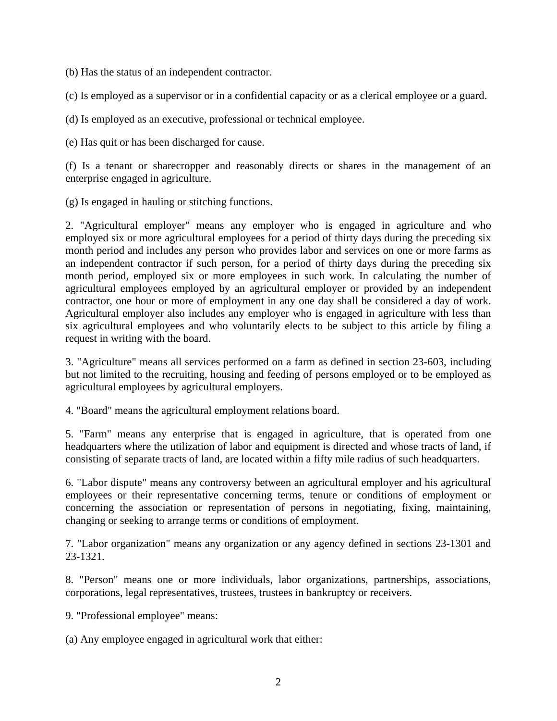(b) Has the status of an independent contractor.

(c) Is employed as a supervisor or in a confidential capacity or as a clerical employee or a guard.

(d) Is employed as an executive, professional or technical employee.

(e) Has quit or has been discharged for cause.

(f) Is a tenant or sharecropper and reasonably directs or shares in the management of an enterprise engaged in agriculture.

(g) Is engaged in hauling or stitching functions.

2. "Agricultural employer" means any employer who is engaged in agriculture and who employed six or more agricultural employees for a period of thirty days during the preceding six month period and includes any person who provides labor and services on one or more farms as an independent contractor if such person, for a period of thirty days during the preceding six month period, employed six or more employees in such work. In calculating the number of agricultural employees employed by an agricultural employer or provided by an independent contractor, one hour or more of employment in any one day shall be considered a day of work. Agricultural employer also includes any employer who is engaged in agriculture with less than six agricultural employees and who voluntarily elects to be subject to this article by filing a request in writing with the board.

3. "Agriculture" means all services performed on a farm as defined in section 23-603, including but not limited to the recruiting, housing and feeding of persons employed or to be employed as agricultural employees by agricultural employers.

4. "Board" means the agricultural employment relations board.

5. "Farm" means any enterprise that is engaged in agriculture, that is operated from one headquarters where the utilization of labor and equipment is directed and whose tracts of land, if consisting of separate tracts of land, are located within a fifty mile radius of such headquarters.

6. "Labor dispute" means any controversy between an agricultural employer and his agricultural employees or their representative concerning terms, tenure or conditions of employment or concerning the association or representation of persons in negotiating, fixing, maintaining, changing or seeking to arrange terms or conditions of employment.

7. "Labor organization" means any organization or any agency defined in sections 23-1301 and 23-1321.

8. "Person" means one or more individuals, labor organizations, partnerships, associations, corporations, legal representatives, trustees, trustees in bankruptcy or receivers.

9. "Professional employee" means:

(a) Any employee engaged in agricultural work that either: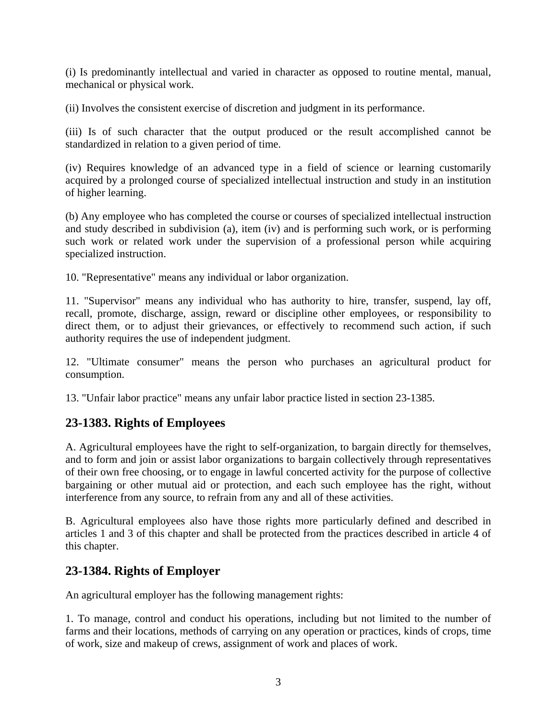(i) Is predominantly intellectual and varied in character as opposed to routine mental, manual, mechanical or physical work.

(ii) Involves the consistent exercise of discretion and judgment in its performance.

(iii) Is of such character that the output produced or the result accomplished cannot be standardized in relation to a given period of time.

(iv) Requires knowledge of an advanced type in a field of science or learning customarily acquired by a prolonged course of specialized intellectual instruction and study in an institution of higher learning.

(b) Any employee who has completed the course or courses of specialized intellectual instruction and study described in subdivision (a), item (iv) and is performing such work, or is performing such work or related work under the supervision of a professional person while acquiring specialized instruction.

10. "Representative" means any individual or labor organization.

11. "Supervisor" means any individual who has authority to hire, transfer, suspend, lay off, recall, promote, discharge, assign, reward or discipline other employees, or responsibility to direct them, or to adjust their grievances, or effectively to recommend such action, if such authority requires the use of independent judgment.

12. "Ultimate consumer" means the person who purchases an agricultural product for consumption.

13. "Unfair labor practice" means any unfair labor practice listed in section 23-1385.

#### **23-1383. Rights of Employees**

A. Agricultural employees have the right to self-organization, to bargain directly for themselves, and to form and join or assist labor organizations to bargain collectively through representatives of their own free choosing, or to engage in lawful concerted activity for the purpose of collective bargaining or other mutual aid or protection, and each such employee has the right, without interference from any source, to refrain from any and all of these activities.

B. Agricultural employees also have those rights more particularly defined and described in articles 1 and 3 of this chapter and shall be protected from the practices described in article 4 of this chapter.

#### **23-1384. Rights of Employer**

An agricultural employer has the following management rights:

1. To manage, control and conduct his operations, including but not limited to the number of farms and their locations, methods of carrying on any operation or practices, kinds of crops, time of work, size and makeup of crews, assignment of work and places of work.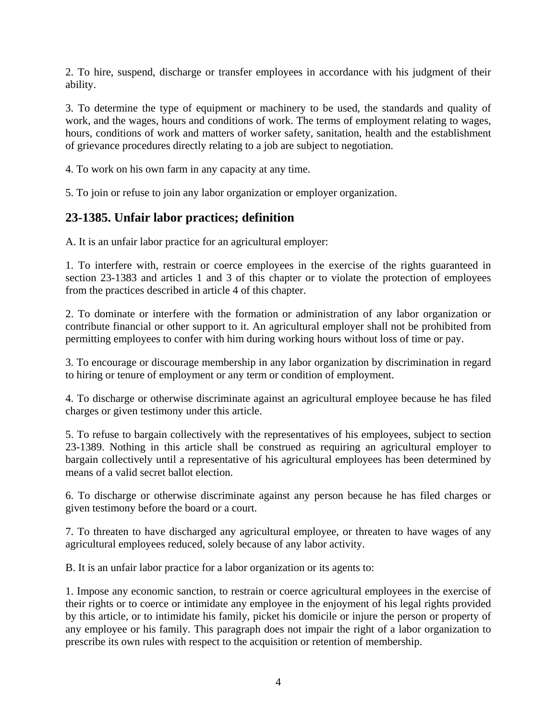2. To hire, suspend, discharge or transfer employees in accordance with his judgment of their ability.

3. To determine the type of equipment or machinery to be used, the standards and quality of work, and the wages, hours and conditions of work. The terms of employment relating to wages, hours, conditions of work and matters of worker safety, sanitation, health and the establishment of grievance procedures directly relating to a job are subject to negotiation.

4. To work on his own farm in any capacity at any time.

5. To join or refuse to join any labor organization or employer organization.

### **23-1385. Unfair labor practices; definition**

A. It is an unfair labor practice for an agricultural employer:

1. To interfere with, restrain or coerce employees in the exercise of the rights guaranteed in section 23-1383 and articles 1 and 3 of this chapter or to violate the protection of employees from the practices described in article 4 of this chapter.

2. To dominate or interfere with the formation or administration of any labor organization or contribute financial or other support to it. An agricultural employer shall not be prohibited from permitting employees to confer with him during working hours without loss of time or pay.

3. To encourage or discourage membership in any labor organization by discrimination in regard to hiring or tenure of employment or any term or condition of employment.

4. To discharge or otherwise discriminate against an agricultural employee because he has filed charges or given testimony under this article.

5. To refuse to bargain collectively with the representatives of his employees, subject to section 23-1389. Nothing in this article shall be construed as requiring an agricultural employer to bargain collectively until a representative of his agricultural employees has been determined by means of a valid secret ballot election.

6. To discharge or otherwise discriminate against any person because he has filed charges or given testimony before the board or a court.

7. To threaten to have discharged any agricultural employee, or threaten to have wages of any agricultural employees reduced, solely because of any labor activity.

B. It is an unfair labor practice for a labor organization or its agents to:

1. Impose any economic sanction, to restrain or coerce agricultural employees in the exercise of their rights or to coerce or intimidate any employee in the enjoyment of his legal rights provided by this article, or to intimidate his family, picket his domicile or injure the person or property of any employee or his family. This paragraph does not impair the right of a labor organization to prescribe its own rules with respect to the acquisition or retention of membership.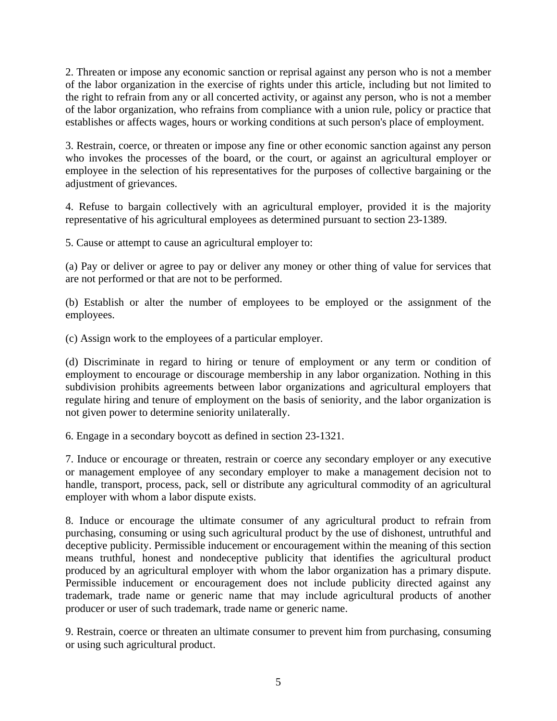2. Threaten or impose any economic sanction or reprisal against any person who is not a member of the labor organization in the exercise of rights under this article, including but not limited to the right to refrain from any or all concerted activity, or against any person, who is not a member of the labor organization, who refrains from compliance with a union rule, policy or practice that establishes or affects wages, hours or working conditions at such person's place of employment.

3. Restrain, coerce, or threaten or impose any fine or other economic sanction against any person who invokes the processes of the board, or the court, or against an agricultural employer or employee in the selection of his representatives for the purposes of collective bargaining or the adjustment of grievances.

4. Refuse to bargain collectively with an agricultural employer, provided it is the majority representative of his agricultural employees as determined pursuant to section 23-1389.

5. Cause or attempt to cause an agricultural employer to:

(a) Pay or deliver or agree to pay or deliver any money or other thing of value for services that are not performed or that are not to be performed.

(b) Establish or alter the number of employees to be employed or the assignment of the employees.

(c) Assign work to the employees of a particular employer.

(d) Discriminate in regard to hiring or tenure of employment or any term or condition of employment to encourage or discourage membership in any labor organization. Nothing in this subdivision prohibits agreements between labor organizations and agricultural employers that regulate hiring and tenure of employment on the basis of seniority, and the labor organization is not given power to determine seniority unilaterally.

6. Engage in a secondary boycott as defined in section 23-1321.

7. Induce or encourage or threaten, restrain or coerce any secondary employer or any executive or management employee of any secondary employer to make a management decision not to handle, transport, process, pack, sell or distribute any agricultural commodity of an agricultural employer with whom a labor dispute exists.

8. Induce or encourage the ultimate consumer of any agricultural product to refrain from purchasing, consuming or using such agricultural product by the use of dishonest, untruthful and deceptive publicity. Permissible inducement or encouragement within the meaning of this section means truthful, honest and nondeceptive publicity that identifies the agricultural product produced by an agricultural employer with whom the labor organization has a primary dispute. Permissible inducement or encouragement does not include publicity directed against any trademark, trade name or generic name that may include agricultural products of another producer or user of such trademark, trade name or generic name.

9. Restrain, coerce or threaten an ultimate consumer to prevent him from purchasing, consuming or using such agricultural product.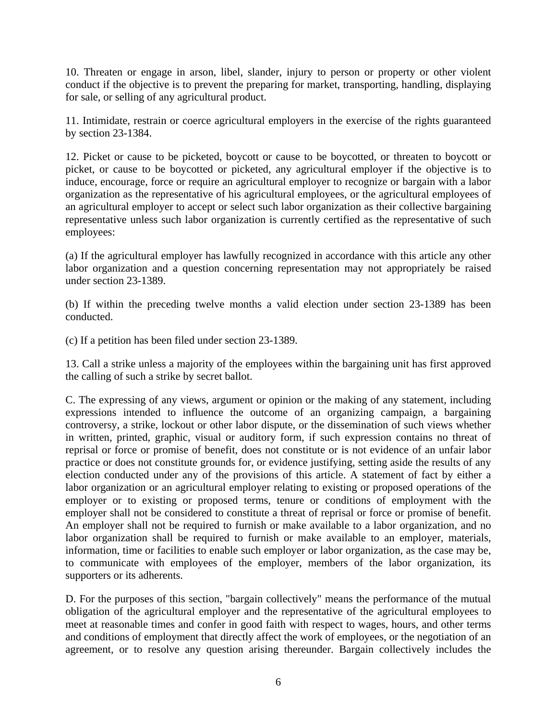10. Threaten or engage in arson, libel, slander, injury to person or property or other violent conduct if the objective is to prevent the preparing for market, transporting, handling, displaying for sale, or selling of any agricultural product.

11. Intimidate, restrain or coerce agricultural employers in the exercise of the rights guaranteed by section 23-1384.

12. Picket or cause to be picketed, boycott or cause to be boycotted, or threaten to boycott or picket, or cause to be boycotted or picketed, any agricultural employer if the objective is to induce, encourage, force or require an agricultural employer to recognize or bargain with a labor organization as the representative of his agricultural employees, or the agricultural employees of an agricultural employer to accept or select such labor organization as their collective bargaining representative unless such labor organization is currently certified as the representative of such employees:

(a) If the agricultural employer has lawfully recognized in accordance with this article any other labor organization and a question concerning representation may not appropriately be raised under section 23-1389.

(b) If within the preceding twelve months a valid election under section 23-1389 has been conducted.

(c) If a petition has been filed under section 23-1389.

13. Call a strike unless a majority of the employees within the bargaining unit has first approved the calling of such a strike by secret ballot.

C. The expressing of any views, argument or opinion or the making of any statement, including expressions intended to influence the outcome of an organizing campaign, a bargaining controversy, a strike, lockout or other labor dispute, or the dissemination of such views whether in written, printed, graphic, visual or auditory form, if such expression contains no threat of reprisal or force or promise of benefit, does not constitute or is not evidence of an unfair labor practice or does not constitute grounds for, or evidence justifying, setting aside the results of any election conducted under any of the provisions of this article. A statement of fact by either a labor organization or an agricultural employer relating to existing or proposed operations of the employer or to existing or proposed terms, tenure or conditions of employment with the employer shall not be considered to constitute a threat of reprisal or force or promise of benefit. An employer shall not be required to furnish or make available to a labor organization, and no labor organization shall be required to furnish or make available to an employer, materials, information, time or facilities to enable such employer or labor organization, as the case may be, to communicate with employees of the employer, members of the labor organization, its supporters or its adherents.

D. For the purposes of this section, "bargain collectively" means the performance of the mutual obligation of the agricultural employer and the representative of the agricultural employees to meet at reasonable times and confer in good faith with respect to wages, hours, and other terms and conditions of employment that directly affect the work of employees, or the negotiation of an agreement, or to resolve any question arising thereunder. Bargain collectively includes the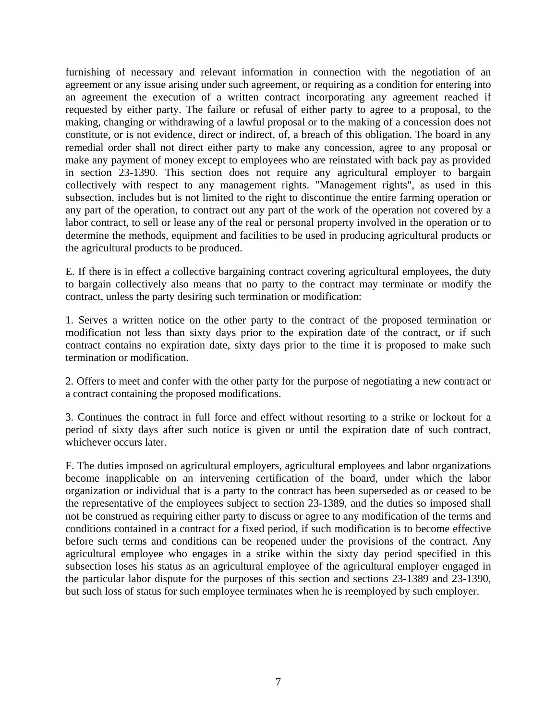furnishing of necessary and relevant information in connection with the negotiation of an agreement or any issue arising under such agreement, or requiring as a condition for entering into an agreement the execution of a written contract incorporating any agreement reached if requested by either party. The failure or refusal of either party to agree to a proposal, to the making, changing or withdrawing of a lawful proposal or to the making of a concession does not constitute, or is not evidence, direct or indirect, of, a breach of this obligation. The board in any remedial order shall not direct either party to make any concession, agree to any proposal or make any payment of money except to employees who are reinstated with back pay as provided in section 23-1390. This section does not require any agricultural employer to bargain collectively with respect to any management rights. "Management rights", as used in this subsection, includes but is not limited to the right to discontinue the entire farming operation or any part of the operation, to contract out any part of the work of the operation not covered by a labor contract, to sell or lease any of the real or personal property involved in the operation or to determine the methods, equipment and facilities to be used in producing agricultural products or the agricultural products to be produced.

E. If there is in effect a collective bargaining contract covering agricultural employees, the duty to bargain collectively also means that no party to the contract may terminate or modify the contract, unless the party desiring such termination or modification:

1. Serves a written notice on the other party to the contract of the proposed termination or modification not less than sixty days prior to the expiration date of the contract, or if such contract contains no expiration date, sixty days prior to the time it is proposed to make such termination or modification.

2. Offers to meet and confer with the other party for the purpose of negotiating a new contract or a contract containing the proposed modifications.

3. Continues the contract in full force and effect without resorting to a strike or lockout for a period of sixty days after such notice is given or until the expiration date of such contract, whichever occurs later.

F. The duties imposed on agricultural employers, agricultural employees and labor organizations become inapplicable on an intervening certification of the board, under which the labor organization or individual that is a party to the contract has been superseded as or ceased to be the representative of the employees subject to section 23-1389, and the duties so imposed shall not be construed as requiring either party to discuss or agree to any modification of the terms and conditions contained in a contract for a fixed period, if such modification is to become effective before such terms and conditions can be reopened under the provisions of the contract. Any agricultural employee who engages in a strike within the sixty day period specified in this subsection loses his status as an agricultural employee of the agricultural employer engaged in the particular labor dispute for the purposes of this section and sections 23-1389 and 23-1390, but such loss of status for such employee terminates when he is reemployed by such employer.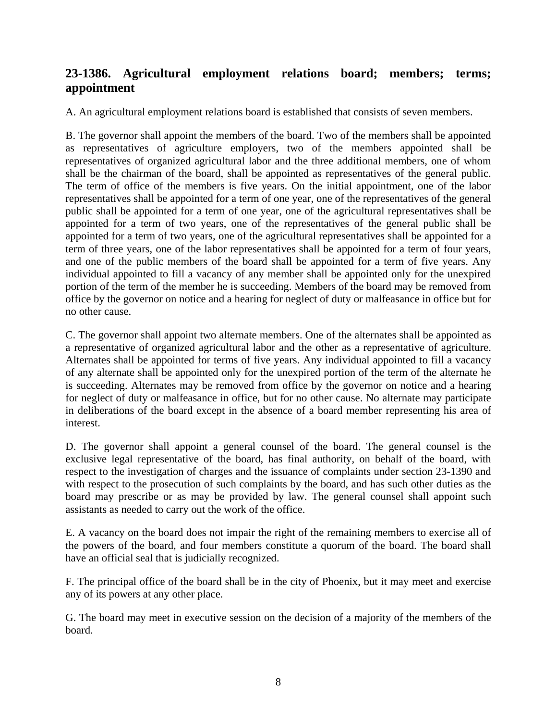# **23-1386. Agricultural employment relations board; members; terms; appointment**

A. An agricultural employment relations board is established that consists of seven members.

B. The governor shall appoint the members of the board. Two of the members shall be appointed as representatives of agriculture employers, two of the members appointed shall be representatives of organized agricultural labor and the three additional members, one of whom shall be the chairman of the board, shall be appointed as representatives of the general public. The term of office of the members is five years. On the initial appointment, one of the labor representatives shall be appointed for a term of one year, one of the representatives of the general public shall be appointed for a term of one year, one of the agricultural representatives shall be appointed for a term of two years, one of the representatives of the general public shall be appointed for a term of two years, one of the agricultural representatives shall be appointed for a term of three years, one of the labor representatives shall be appointed for a term of four years, and one of the public members of the board shall be appointed for a term of five years. Any individual appointed to fill a vacancy of any member shall be appointed only for the unexpired portion of the term of the member he is succeeding. Members of the board may be removed from office by the governor on notice and a hearing for neglect of duty or malfeasance in office but for no other cause.

C. The governor shall appoint two alternate members. One of the alternates shall be appointed as a representative of organized agricultural labor and the other as a representative of agriculture. Alternates shall be appointed for terms of five years. Any individual appointed to fill a vacancy of any alternate shall be appointed only for the unexpired portion of the term of the alternate he is succeeding. Alternates may be removed from office by the governor on notice and a hearing for neglect of duty or malfeasance in office, but for no other cause. No alternate may participate in deliberations of the board except in the absence of a board member representing his area of interest.

D. The governor shall appoint a general counsel of the board. The general counsel is the exclusive legal representative of the board, has final authority, on behalf of the board, with respect to the investigation of charges and the issuance of complaints under section 23-1390 and with respect to the prosecution of such complaints by the board, and has such other duties as the board may prescribe or as may be provided by law. The general counsel shall appoint such assistants as needed to carry out the work of the office.

E. A vacancy on the board does not impair the right of the remaining members to exercise all of the powers of the board, and four members constitute a quorum of the board. The board shall have an official seal that is judicially recognized.

F. The principal office of the board shall be in the city of Phoenix, but it may meet and exercise any of its powers at any other place.

G. The board may meet in executive session on the decision of a majority of the members of the board.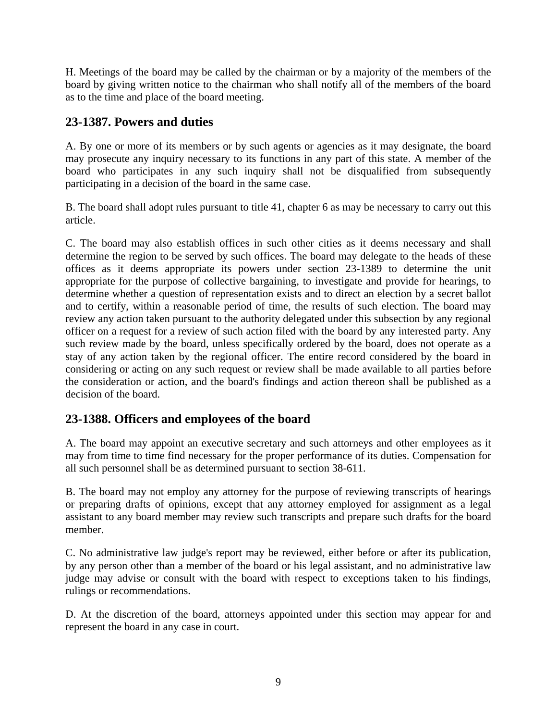H. Meetings of the board may be called by the chairman or by a majority of the members of the board by giving written notice to the chairman who shall notify all of the members of the board as to the time and place of the board meeting.

## **23-1387. Powers and duties**

A. By one or more of its members or by such agents or agencies as it may designate, the board may prosecute any inquiry necessary to its functions in any part of this state. A member of the board who participates in any such inquiry shall not be disqualified from subsequently participating in a decision of the board in the same case.

B. The board shall adopt rules pursuant to title 41, chapter 6 as may be necessary to carry out this article.

C. The board may also establish offices in such other cities as it deems necessary and shall determine the region to be served by such offices. The board may delegate to the heads of these offices as it deems appropriate its powers under section 23-1389 to determine the unit appropriate for the purpose of collective bargaining, to investigate and provide for hearings, to determine whether a question of representation exists and to direct an election by a secret ballot and to certify, within a reasonable period of time, the results of such election. The board may review any action taken pursuant to the authority delegated under this subsection by any regional officer on a request for a review of such action filed with the board by any interested party. Any such review made by the board, unless specifically ordered by the board, does not operate as a stay of any action taken by the regional officer. The entire record considered by the board in considering or acting on any such request or review shall be made available to all parties before the consideration or action, and the board's findings and action thereon shall be published as a decision of the board.

### **23-1388. Officers and employees of the board**

A. The board may appoint an executive secretary and such attorneys and other employees as it may from time to time find necessary for the proper performance of its duties. Compensation for all such personnel shall be as determined pursuant to section 38-611.

B. The board may not employ any attorney for the purpose of reviewing transcripts of hearings or preparing drafts of opinions, except that any attorney employed for assignment as a legal assistant to any board member may review such transcripts and prepare such drafts for the board member.

C. No administrative law judge's report may be reviewed, either before or after its publication, by any person other than a member of the board or his legal assistant, and no administrative law judge may advise or consult with the board with respect to exceptions taken to his findings, rulings or recommendations.

D. At the discretion of the board, attorneys appointed under this section may appear for and represent the board in any case in court.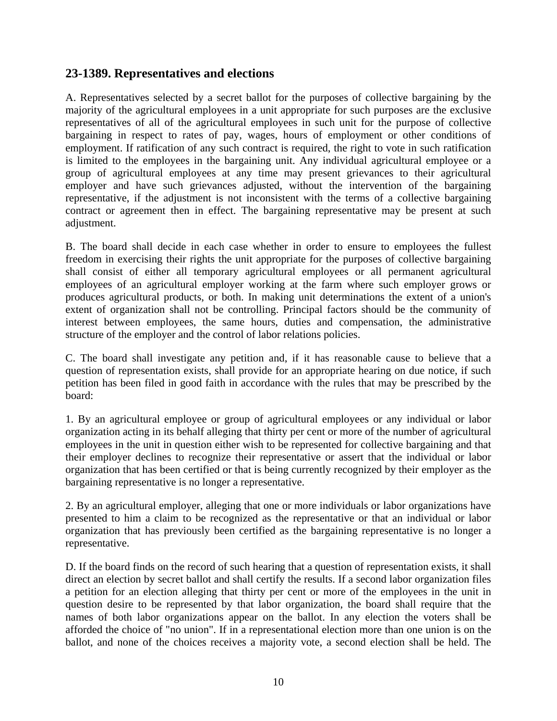#### **23-1389. Representatives and elections**

A. Representatives selected by a secret ballot for the purposes of collective bargaining by the majority of the agricultural employees in a unit appropriate for such purposes are the exclusive representatives of all of the agricultural employees in such unit for the purpose of collective bargaining in respect to rates of pay, wages, hours of employment or other conditions of employment. If ratification of any such contract is required, the right to vote in such ratification is limited to the employees in the bargaining unit. Any individual agricultural employee or a group of agricultural employees at any time may present grievances to their agricultural employer and have such grievances adjusted, without the intervention of the bargaining representative, if the adjustment is not inconsistent with the terms of a collective bargaining contract or agreement then in effect. The bargaining representative may be present at such adjustment.

B. The board shall decide in each case whether in order to ensure to employees the fullest freedom in exercising their rights the unit appropriate for the purposes of collective bargaining shall consist of either all temporary agricultural employees or all permanent agricultural employees of an agricultural employer working at the farm where such employer grows or produces agricultural products, or both. In making unit determinations the extent of a union's extent of organization shall not be controlling. Principal factors should be the community of interest between employees, the same hours, duties and compensation, the administrative structure of the employer and the control of labor relations policies.

C. The board shall investigate any petition and, if it has reasonable cause to believe that a question of representation exists, shall provide for an appropriate hearing on due notice, if such petition has been filed in good faith in accordance with the rules that may be prescribed by the board:

1. By an agricultural employee or group of agricultural employees or any individual or labor organization acting in its behalf alleging that thirty per cent or more of the number of agricultural employees in the unit in question either wish to be represented for collective bargaining and that their employer declines to recognize their representative or assert that the individual or labor organization that has been certified or that is being currently recognized by their employer as the bargaining representative is no longer a representative.

2. By an agricultural employer, alleging that one or more individuals or labor organizations have presented to him a claim to be recognized as the representative or that an individual or labor organization that has previously been certified as the bargaining representative is no longer a representative.

D. If the board finds on the record of such hearing that a question of representation exists, it shall direct an election by secret ballot and shall certify the results. If a second labor organization files a petition for an election alleging that thirty per cent or more of the employees in the unit in question desire to be represented by that labor organization, the board shall require that the names of both labor organizations appear on the ballot. In any election the voters shall be afforded the choice of "no union". If in a representational election more than one union is on the ballot, and none of the choices receives a majority vote, a second election shall be held. The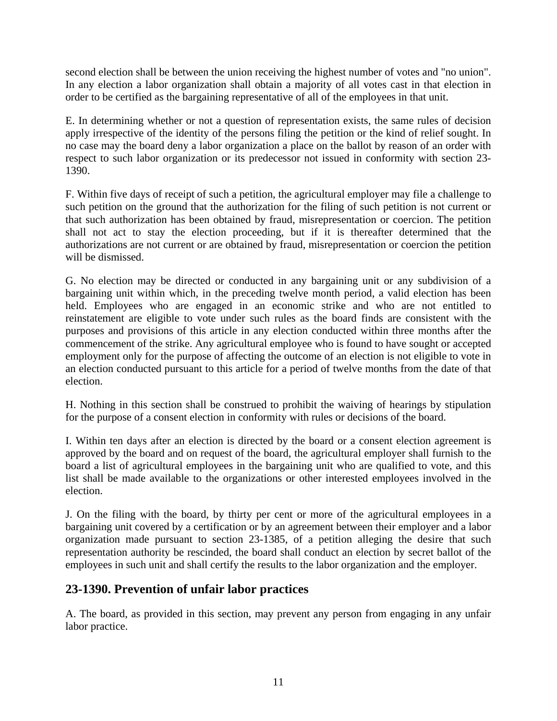second election shall be between the union receiving the highest number of votes and "no union". In any election a labor organization shall obtain a majority of all votes cast in that election in order to be certified as the bargaining representative of all of the employees in that unit.

E. In determining whether or not a question of representation exists, the same rules of decision apply irrespective of the identity of the persons filing the petition or the kind of relief sought. In no case may the board deny a labor organization a place on the ballot by reason of an order with respect to such labor organization or its predecessor not issued in conformity with section 23- 1390.

F. Within five days of receipt of such a petition, the agricultural employer may file a challenge to such petition on the ground that the authorization for the filing of such petition is not current or that such authorization has been obtained by fraud, misrepresentation or coercion. The petition shall not act to stay the election proceeding, but if it is thereafter determined that the authorizations are not current or are obtained by fraud, misrepresentation or coercion the petition will be dismissed.

G. No election may be directed or conducted in any bargaining unit or any subdivision of a bargaining unit within which, in the preceding twelve month period, a valid election has been held. Employees who are engaged in an economic strike and who are not entitled to reinstatement are eligible to vote under such rules as the board finds are consistent with the purposes and provisions of this article in any election conducted within three months after the commencement of the strike. Any agricultural employee who is found to have sought or accepted employment only for the purpose of affecting the outcome of an election is not eligible to vote in an election conducted pursuant to this article for a period of twelve months from the date of that election.

H. Nothing in this section shall be construed to prohibit the waiving of hearings by stipulation for the purpose of a consent election in conformity with rules or decisions of the board.

I. Within ten days after an election is directed by the board or a consent election agreement is approved by the board and on request of the board, the agricultural employer shall furnish to the board a list of agricultural employees in the bargaining unit who are qualified to vote, and this list shall be made available to the organizations or other interested employees involved in the election.

J. On the filing with the board, by thirty per cent or more of the agricultural employees in a bargaining unit covered by a certification or by an agreement between their employer and a labor organization made pursuant to section 23-1385, of a petition alleging the desire that such representation authority be rescinded, the board shall conduct an election by secret ballot of the employees in such unit and shall certify the results to the labor organization and the employer.

# **23-1390. Prevention of unfair labor practices**

A. The board, as provided in this section, may prevent any person from engaging in any unfair labor practice.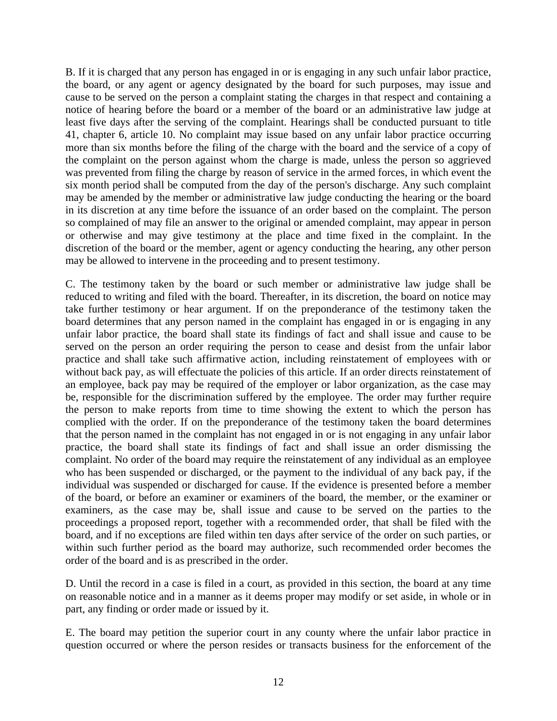B. If it is charged that any person has engaged in or is engaging in any such unfair labor practice, the board, or any agent or agency designated by the board for such purposes, may issue and cause to be served on the person a complaint stating the charges in that respect and containing a notice of hearing before the board or a member of the board or an administrative law judge at least five days after the serving of the complaint. Hearings shall be conducted pursuant to title 41, chapter 6, article 10. No complaint may issue based on any unfair labor practice occurring more than six months before the filing of the charge with the board and the service of a copy of the complaint on the person against whom the charge is made, unless the person so aggrieved was prevented from filing the charge by reason of service in the armed forces, in which event the six month period shall be computed from the day of the person's discharge. Any such complaint may be amended by the member or administrative law judge conducting the hearing or the board in its discretion at any time before the issuance of an order based on the complaint. The person so complained of may file an answer to the original or amended complaint, may appear in person or otherwise and may give testimony at the place and time fixed in the complaint. In the discretion of the board or the member, agent or agency conducting the hearing, any other person may be allowed to intervene in the proceeding and to present testimony.

C. The testimony taken by the board or such member or administrative law judge shall be reduced to writing and filed with the board. Thereafter, in its discretion, the board on notice may take further testimony or hear argument. If on the preponderance of the testimony taken the board determines that any person named in the complaint has engaged in or is engaging in any unfair labor practice, the board shall state its findings of fact and shall issue and cause to be served on the person an order requiring the person to cease and desist from the unfair labor practice and shall take such affirmative action, including reinstatement of employees with or without back pay, as will effectuate the policies of this article. If an order directs reinstatement of an employee, back pay may be required of the employer or labor organization, as the case may be, responsible for the discrimination suffered by the employee. The order may further require the person to make reports from time to time showing the extent to which the person has complied with the order. If on the preponderance of the testimony taken the board determines that the person named in the complaint has not engaged in or is not engaging in any unfair labor practice, the board shall state its findings of fact and shall issue an order dismissing the complaint. No order of the board may require the reinstatement of any individual as an employee who has been suspended or discharged, or the payment to the individual of any back pay, if the individual was suspended or discharged for cause. If the evidence is presented before a member of the board, or before an examiner or examiners of the board, the member, or the examiner or examiners, as the case may be, shall issue and cause to be served on the parties to the proceedings a proposed report, together with a recommended order, that shall be filed with the board, and if no exceptions are filed within ten days after service of the order on such parties, or within such further period as the board may authorize, such recommended order becomes the order of the board and is as prescribed in the order.

D. Until the record in a case is filed in a court, as provided in this section, the board at any time on reasonable notice and in a manner as it deems proper may modify or set aside, in whole or in part, any finding or order made or issued by it.

E. The board may petition the superior court in any county where the unfair labor practice in question occurred or where the person resides or transacts business for the enforcement of the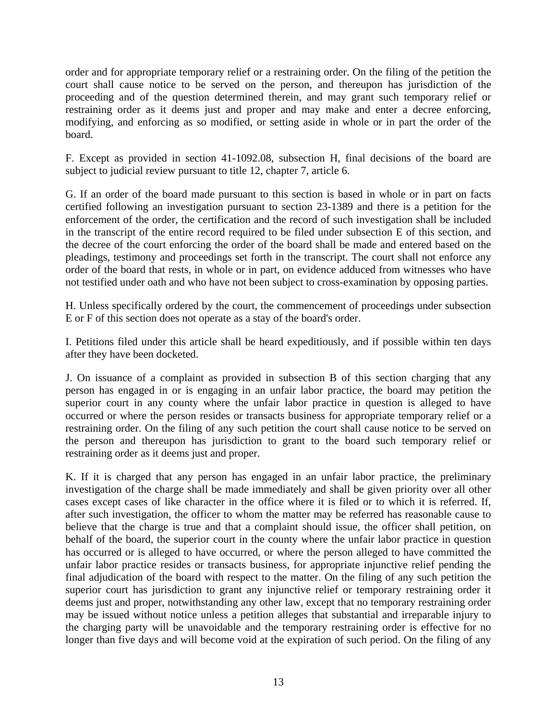order and for appropriate temporary relief or a restraining order. On the filing of the petition the court shall cause notice to be served on the person, and thereupon has jurisdiction of the proceeding and of the question determined therein, and may grant such temporary relief or restraining order as it deems just and proper and may make and enter a decree enforcing, modifying, and enforcing as so modified, or setting aside in whole or in part the order of the board.

F. Except as provided in section 41-1092.08, subsection H, final decisions of the board are subject to judicial review pursuant to title 12, chapter 7, article 6.

G. If an order of the board made pursuant to this section is based in whole or in part on facts certified following an investigation pursuant to section 23-1389 and there is a petition for the enforcement of the order, the certification and the record of such investigation shall be included in the transcript of the entire record required to be filed under subsection E of this section, and the decree of the court enforcing the order of the board shall be made and entered based on the pleadings, testimony and proceedings set forth in the transcript. The court shall not enforce any order of the board that rests, in whole or in part, on evidence adduced from witnesses who have not testified under oath and who have not been subject to cross-examination by opposing parties.

H. Unless specifically ordered by the court, the commencement of proceedings under subsection E or F of this section does not operate as a stay of the board's order.

I. Petitions filed under this article shall be heard expeditiously, and if possible within ten days after they have been docketed.

J. On issuance of a complaint as provided in subsection B of this section charging that any person has engaged in or is engaging in an unfair labor practice, the board may petition the superior court in any county where the unfair labor practice in question is alleged to have occurred or where the person resides or transacts business for appropriate temporary relief or a restraining order. On the filing of any such petition the court shall cause notice to be served on the person and thereupon has jurisdiction to grant to the board such temporary relief or restraining order as it deems just and proper.

K. If it is charged that any person has engaged in an unfair labor practice, the preliminary investigation of the charge shall be made immediately and shall be given priority over all other cases except cases of like character in the office where it is filed or to which it is referred. If, after such investigation, the officer to whom the matter may be referred has reasonable cause to believe that the charge is true and that a complaint should issue, the officer shall petition, on behalf of the board, the superior court in the county where the unfair labor practice in question has occurred or is alleged to have occurred, or where the person alleged to have committed the unfair labor practice resides or transacts business, for appropriate injunctive relief pending the final adjudication of the board with respect to the matter. On the filing of any such petition the superior court has jurisdiction to grant any injunctive relief or temporary restraining order it deems just and proper, notwithstanding any other law, except that no temporary restraining order may be issued without notice unless a petition alleges that substantial and irreparable injury to the charging party will be unavoidable and the temporary restraining order is effective for no longer than five days and will become void at the expiration of such period. On the filing of any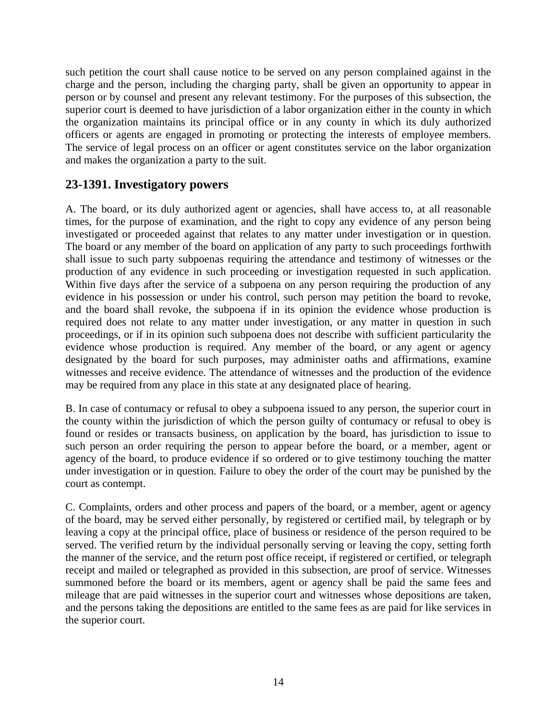such petition the court shall cause notice to be served on any person complained against in the charge and the person, including the charging party, shall be given an opportunity to appear in person or by counsel and present any relevant testimony. For the purposes of this subsection, the superior court is deemed to have jurisdiction of a labor organization either in the county in which the organization maintains its principal office or in any county in which its duly authorized officers or agents are engaged in promoting or protecting the interests of employee members. The service of legal process on an officer or agent constitutes service on the labor organization and makes the organization a party to the suit.

### **23-1391. Investigatory powers**

A. The board, or its duly authorized agent or agencies, shall have access to, at all reasonable times, for the purpose of examination, and the right to copy any evidence of any person being investigated or proceeded against that relates to any matter under investigation or in question. The board or any member of the board on application of any party to such proceedings forthwith shall issue to such party subpoenas requiring the attendance and testimony of witnesses or the production of any evidence in such proceeding or investigation requested in such application. Within five days after the service of a subpoena on any person requiring the production of any evidence in his possession or under his control, such person may petition the board to revoke, and the board shall revoke, the subpoena if in its opinion the evidence whose production is required does not relate to any matter under investigation, or any matter in question in such proceedings, or if in its opinion such subpoena does not describe with sufficient particularity the evidence whose production is required. Any member of the board, or any agent or agency designated by the board for such purposes, may administer oaths and affirmations, examine witnesses and receive evidence. The attendance of witnesses and the production of the evidence may be required from any place in this state at any designated place of hearing.

B. In case of contumacy or refusal to obey a subpoena issued to any person, the superior court in the county within the jurisdiction of which the person guilty of contumacy or refusal to obey is found or resides or transacts business, on application by the board, has jurisdiction to issue to such person an order requiring the person to appear before the board, or a member, agent or agency of the board, to produce evidence if so ordered or to give testimony touching the matter under investigation or in question. Failure to obey the order of the court may be punished by the court as contempt.

C. Complaints, orders and other process and papers of the board, or a member, agent or agency of the board, may be served either personally, by registered or certified mail, by telegraph or by leaving a copy at the principal office, place of business or residence of the person required to be served. The verified return by the individual personally serving or leaving the copy, setting forth the manner of the service, and the return post office receipt, if registered or certified, or telegraph receipt and mailed or telegraphed as provided in this subsection, are proof of service. Witnesses summoned before the board or its members, agent or agency shall be paid the same fees and mileage that are paid witnesses in the superior court and witnesses whose depositions are taken, and the persons taking the depositions are entitled to the same fees as are paid for like services in the superior court.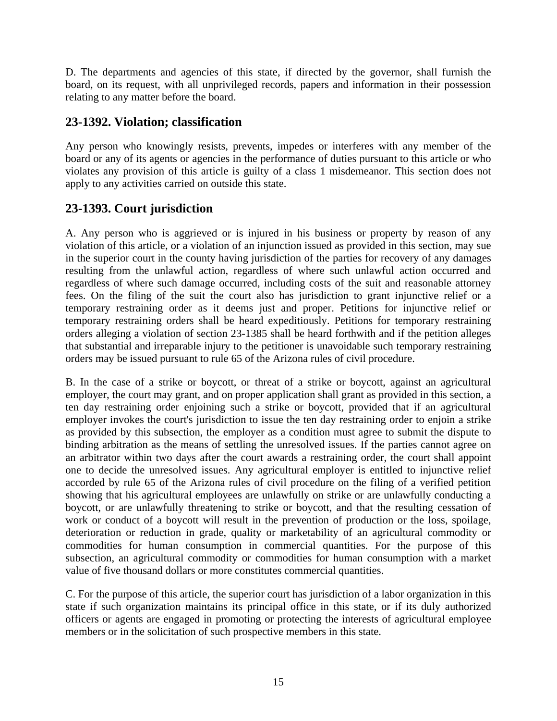D. The departments and agencies of this state, if directed by the governor, shall furnish the board, on its request, with all unprivileged records, papers and information in their possession relating to any matter before the board.

### **23-1392. Violation; classification**

Any person who knowingly resists, prevents, impedes or interferes with any member of the board or any of its agents or agencies in the performance of duties pursuant to this article or who violates any provision of this article is guilty of a class 1 misdemeanor. This section does not apply to any activities carried on outside this state.

# **23-1393. Court jurisdiction**

A. Any person who is aggrieved or is injured in his business or property by reason of any violation of this article, or a violation of an injunction issued as provided in this section, may sue in the superior court in the county having jurisdiction of the parties for recovery of any damages resulting from the unlawful action, regardless of where such unlawful action occurred and regardless of where such damage occurred, including costs of the suit and reasonable attorney fees. On the filing of the suit the court also has jurisdiction to grant injunctive relief or a temporary restraining order as it deems just and proper. Petitions for injunctive relief or temporary restraining orders shall be heard expeditiously. Petitions for temporary restraining orders alleging a violation of section 23-1385 shall be heard forthwith and if the petition alleges that substantial and irreparable injury to the petitioner is unavoidable such temporary restraining orders may be issued pursuant to rule 65 of the Arizona rules of civil procedure.

B. In the case of a strike or boycott, or threat of a strike or boycott, against an agricultural employer, the court may grant, and on proper application shall grant as provided in this section, a ten day restraining order enjoining such a strike or boycott, provided that if an agricultural employer invokes the court's jurisdiction to issue the ten day restraining order to enjoin a strike as provided by this subsection, the employer as a condition must agree to submit the dispute to binding arbitration as the means of settling the unresolved issues. If the parties cannot agree on an arbitrator within two days after the court awards a restraining order, the court shall appoint one to decide the unresolved issues. Any agricultural employer is entitled to injunctive relief accorded by rule 65 of the Arizona rules of civil procedure on the filing of a verified petition showing that his agricultural employees are unlawfully on strike or are unlawfully conducting a boycott, or are unlawfully threatening to strike or boycott, and that the resulting cessation of work or conduct of a boycott will result in the prevention of production or the loss, spoilage, deterioration or reduction in grade, quality or marketability of an agricultural commodity or commodities for human consumption in commercial quantities. For the purpose of this subsection, an agricultural commodity or commodities for human consumption with a market value of five thousand dollars or more constitutes commercial quantities.

C. For the purpose of this article, the superior court has jurisdiction of a labor organization in this state if such organization maintains its principal office in this state, or if its duly authorized officers or agents are engaged in promoting or protecting the interests of agricultural employee members or in the solicitation of such prospective members in this state.